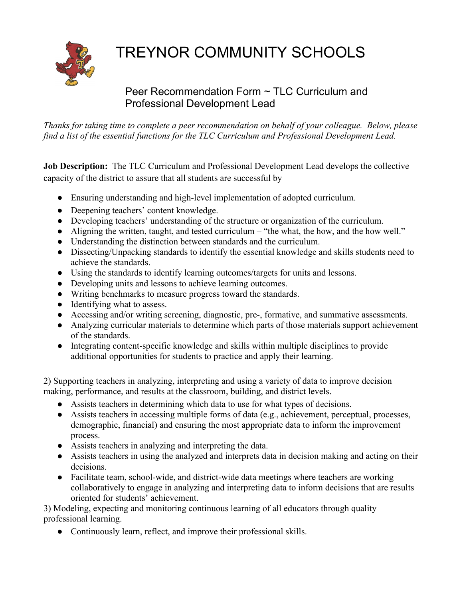## TREYNOR COMMUNITY SCHOOLS

## Peer Recommendation Form ~ TLC Curriculum and Professional Development Lead

*Thanks for taking time to complete a peer recommendation on behalf of your colleague. Below, please find a list of the essential functions for the TLC Curriculum and Professional Development Lead.*

**Job Description:** The TLC Curriculum and Professional Development Lead develops the collective capacity of the district to assure that all students are successful by

- Ensuring understanding and high-level implementation of adopted curriculum.
- Deepening teachers' content knowledge.
- Developing teachers' understanding of the structure or organization of the curriculum.
- Aligning the written, taught, and tested curriculum "the what, the how, and the how well."
- Understanding the distinction between standards and the curriculum.
- Dissecting/Unpacking standards to identify the essential knowledge and skills students need to achieve the standards.
- Using the standards to identify learning outcomes/targets for units and lessons.
- Developing units and lessons to achieve learning outcomes.
- Writing benchmarks to measure progress toward the standards.
- Identifying what to assess.
- Accessing and/or writing screening, diagnostic, pre-, formative, and summative assessments.
- Analyzing curricular materials to determine which parts of those materials support achievement of the standards.
- Integrating content-specific knowledge and skills within multiple disciplines to provide additional opportunities for students to practice and apply their learning.

2) Supporting teachers in analyzing, interpreting and using a variety of data to improve decision making, performance, and results at the classroom, building, and district levels.

- Assists teachers in determining which data to use for what types of decisions.
- Assists teachers in accessing multiple forms of data (e.g., achievement, perceptual, processes, demographic, financial) and ensuring the most appropriate data to inform the improvement process.
- Assists teachers in analyzing and interpreting the data.
- Assists teachers in using the analyzed and interprets data in decision making and acting on their decisions.
- Facilitate team, school-wide, and district-wide data meetings where teachers are working collaboratively to engage in analyzing and interpreting data to inform decisions that are results oriented for students' achievement.

3) Modeling, expecting and monitoring continuous learning of all educators through quality professional learning.

• Continuously learn, reflect, and improve their professional skills.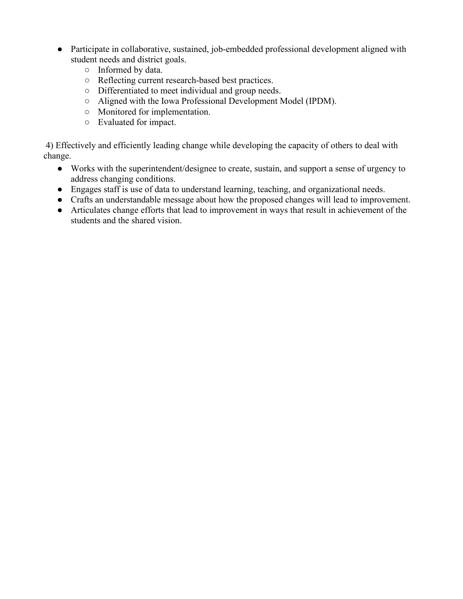- Participate in collaborative, sustained, job-embedded professional development aligned with student needs and district goals.
	- Informed by data.
	- Reflecting current research-based best practices.
	- Differentiated to meet individual and group needs.
	- Aligned with the Iowa Professional Development Model (IPDM).
	- Monitored for implementation.
	- Evaluated for impact.

4) Effectively and efficiently leading change while developing the capacity of others to deal with change.

- Works with the superintendent/designee to create, sustain, and support a sense of urgency to address changing conditions.
- Engages staff is use of data to understand learning, teaching, and organizational needs.
- Crafts an understandable message about how the proposed changes will lead to improvement.
- Articulates change efforts that lead to improvement in ways that result in achievement of the students and the shared vision.